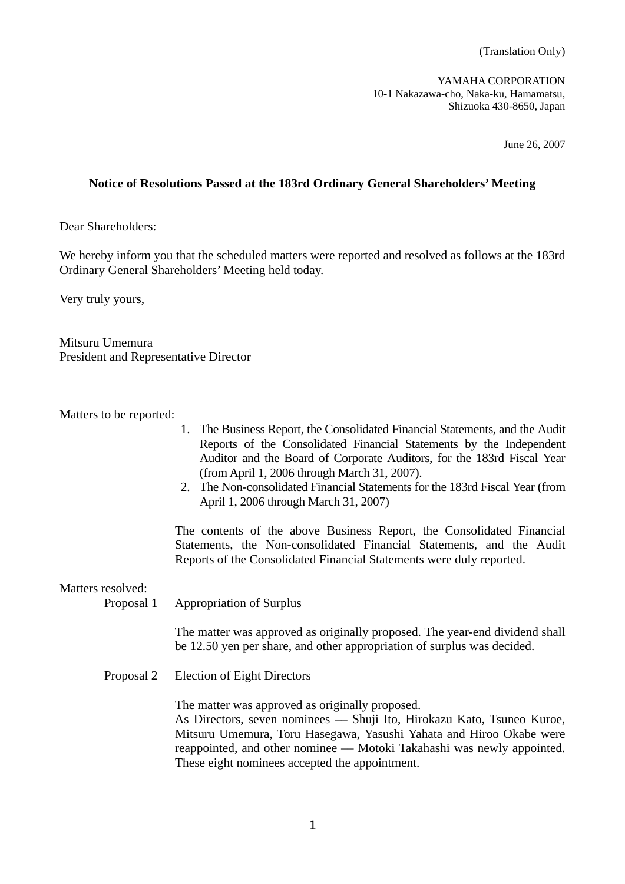(Translation Only)

YAMAHA CORPORATION 10-1 Nakazawa-cho, Naka-ku, Hamamatsu, Shizuoka 430-8650, Japan

June 26, 2007

# **Notice of Resolutions Passed at the 183rd Ordinary General Shareholders' Meeting**

Dear Shareholders:

We hereby inform you that the scheduled matters were reported and resolved as follows at the 183rd Ordinary General Shareholders' Meeting held today.

Very truly yours,

Mitsuru Umemura President and Representative Director

Matters to be reported:

- 1. The Business Report, the Consolidated Financial Statements, and the Audit Reports of the Consolidated Financial Statements by the Independent Auditor and the Board of Corporate Auditors, for the 183rd Fiscal Year (from April 1, 2006 through March 31, 2007).
- 2. The Non-consolidated Financial Statements for the 183rd Fiscal Year (from April 1, 2006 through March 31, 2007)

 The contents of the above Business Report, the Consolidated Financial Statements, the Non-consolidated Financial Statements, and the Audit Reports of the Consolidated Financial Statements were duly reported.

Matters resolved:

Proposal 1 Appropriation of Surplus

 The matter was approved as originally proposed. The year-end dividend shall be 12.50 yen per share, and other appropriation of surplus was decided.

Proposal 2 Election of Eight Directors

The matter was approved as originally proposed.

 As Directors, seven nominees –– Shuji Ito, Hirokazu Kato, Tsuneo Kuroe, Mitsuru Umemura, Toru Hasegawa, Yasushi Yahata and Hiroo Okabe were reappointed, and other nominee — Motoki Takahashi was newly appointed. These eight nominees accepted the appointment.